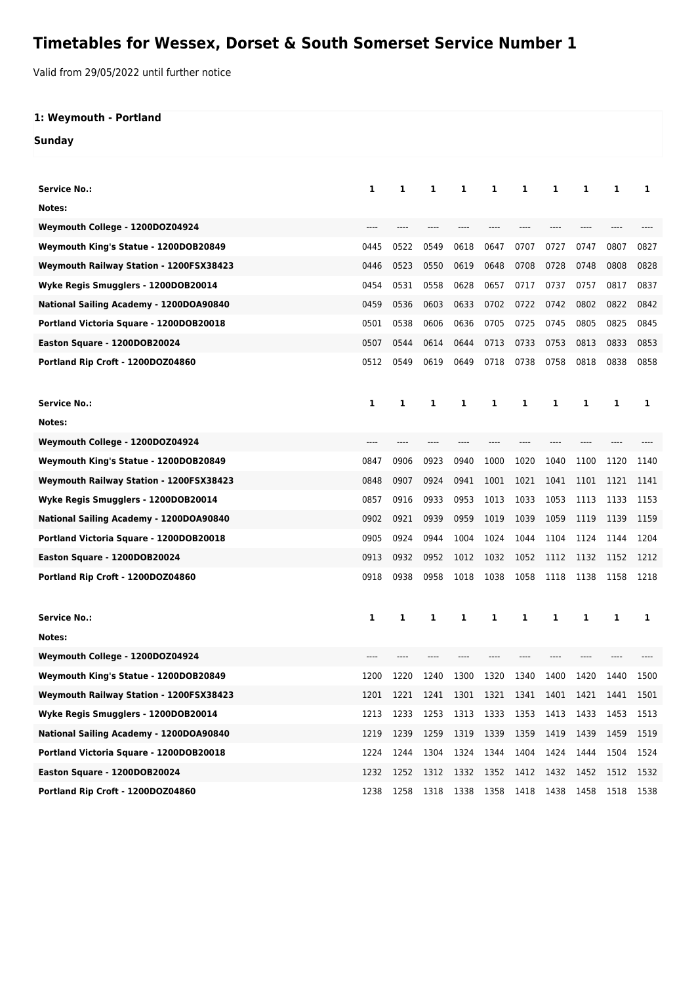## **Timetables for Wessex, Dorset & South Somerset Service Number 1**

Valid from 29/05/2022 until further notice

## **1: Weymouth - Portland Sunday**

|                                         | 1    | 1    |      | 1    |           |      |      |      |      |      |
|-----------------------------------------|------|------|------|------|-----------|------|------|------|------|------|
| Service No.:                            |      |      | 1    |      | 1         | 1    | 1    | 1    | 1    | 1    |
| Notes:                                  |      |      |      |      |           |      |      |      |      |      |
| Weymouth College - 1200DOZ04924         |      |      |      |      |           |      |      |      |      |      |
| Weymouth King's Statue - 1200DOB20849   | 0445 | 0522 | 0549 | 0618 | 0647      | 0707 | 0727 | 0747 | 0807 | 0827 |
| Weymouth Railway Station - 1200FSX38423 | 0446 | 0523 | 0550 | 0619 | 0648      | 0708 | 0728 | 0748 | 0808 | 0828 |
| Wyke Regis Smugglers - 1200DOB20014     | 0454 | 0531 | 0558 | 0628 | 0657      | 0717 | 0737 | 0757 | 0817 | 0837 |
| National Sailing Academy - 1200DOA90840 | 0459 | 0536 | 0603 | 0633 | 0702      | 0722 | 0742 | 0802 | 0822 | 0842 |
| Portland Victoria Square - 1200DOB20018 | 0501 | 0538 | 0606 | 0636 | 0705      | 0725 | 0745 | 0805 | 0825 | 0845 |
| Easton Square - 1200DOB20024            | 0507 | 0544 | 0614 | 0644 | 0713      | 0733 | 0753 | 0813 | 0833 | 0853 |
| Portland Rip Croft - 1200DOZ04860       | 0512 | 0549 | 0619 | 0649 | 0718      | 0738 | 0758 | 0818 | 0838 | 0858 |
|                                         |      |      |      |      |           |      |      |      |      |      |
| Service No.:                            | 1    | 1    | 1    | 1    | 1         | 1    | 1    | 1    | 1    | 1    |
| Notes:                                  |      |      |      |      |           |      |      |      |      |      |
| Weymouth College - 1200DOZ04924         |      |      |      |      |           |      |      |      |      |      |
| Weymouth King's Statue - 1200DOB20849   | 0847 | 0906 | 0923 | 0940 | 1000      | 1020 | 1040 | 1100 | 1120 | 1140 |
| Weymouth Railway Station - 1200FSX38423 | 0848 | 0907 | 0924 | 0941 | 1001      | 1021 | 1041 | 1101 | 1121 | 1141 |
| Wyke Regis Smugglers - 1200DOB20014     | 0857 | 0916 | 0933 | 0953 | 1013      | 1033 | 1053 | 1113 | 1133 | 1153 |
| National Sailing Academy - 1200DOA90840 | 0902 | 0921 | 0939 | 0959 | 1019      | 1039 | 1059 | 1119 | 1139 | 1159 |
| Portland Victoria Square - 1200DOB20018 | 0905 | 0924 | 0944 | 1004 | 1024      | 1044 | 1104 | 1124 | 1144 | 1204 |
| Easton Square - 1200DOB20024            | 0913 | 0932 | 0952 | 1012 | 1032      | 1052 | 1112 | 1132 | 1152 | 1212 |
| Portland Rip Croft - 1200DOZ04860       | 0918 | 0938 | 0958 | 1018 | 1038      | 1058 | 1118 | 1138 | 1158 | 1218 |
|                                         |      |      |      |      |           |      |      |      |      |      |
| Service No.:                            | 1    | 1    | 1    | 1    | 1         | 1    | 1    | 1    | 1    | 1    |
| Notes:                                  |      |      |      |      |           |      |      |      |      |      |
| Weymouth College - 1200DOZ04924         |      |      |      |      |           |      |      |      |      |      |
| Weymouth King's Statue - 1200DOB20849   | 1200 | 1220 | 1240 | 1300 | 1320      | 1340 | 1400 | 1420 | 1440 | 1500 |
| Weymouth Railway Station - 1200FSX38423 | 1201 | 1221 | 1241 | 1301 | 1321      | 1341 | 1401 | 1421 | 1441 | 1501 |
| Wyke Regis Smugglers - 1200DOB20014     | 1213 | 1233 | 1253 | 1313 | 1333      | 1353 | 1413 | 1433 | 1453 | 1513 |
| National Sailing Academy - 1200DOA90840 | 1219 | 1239 | 1259 | 1319 | 1339      | 1359 | 1419 | 1439 | 1459 | 1519 |
| Portland Victoria Square - 1200DOB20018 | 1224 | 1244 | 1304 | 1324 | 1344      | 1404 | 1424 | 1444 | 1504 | 1524 |
| Easton Square - 1200DOB20024            | 1232 | 1252 | 1312 | 1332 | 1352 1412 |      | 1432 | 1452 | 1512 |      |
|                                         |      |      |      |      | 1358 1418 |      |      |      |      | 1532 |
| Portland Rip Croft - 1200DOZ04860       | 1238 | 1258 | 1318 | 1338 |           |      | 1438 | 1458 | 1518 | 1538 |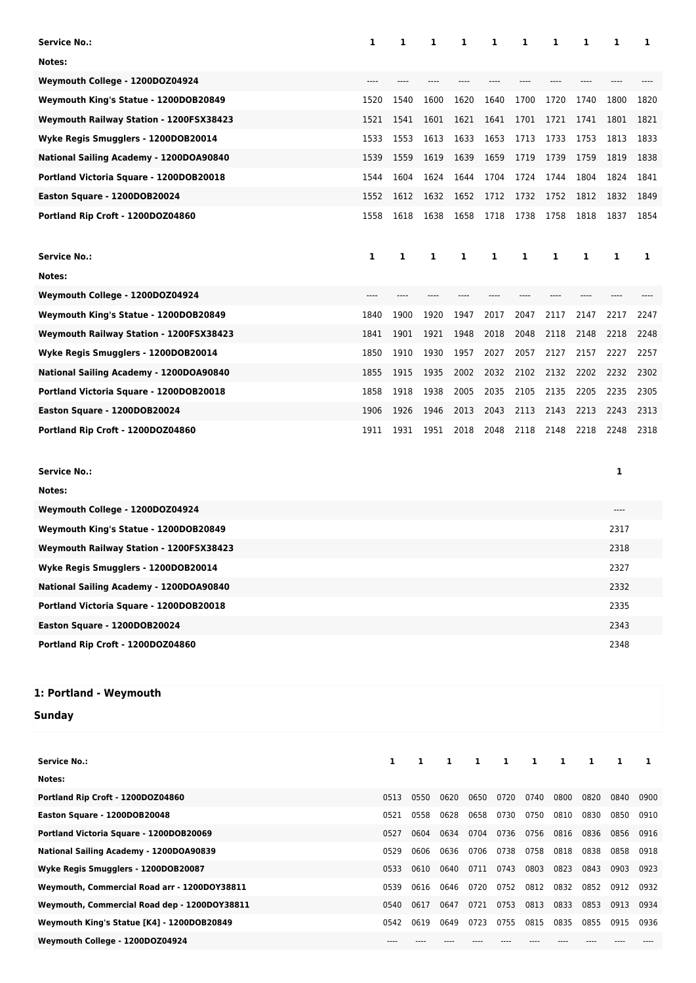| <b>Service No.:</b>                     | 1     | 1    | 1     | 1    | 1    | 1     | 1     | 1    | 1    | 1    |
|-----------------------------------------|-------|------|-------|------|------|-------|-------|------|------|------|
| Notes:                                  |       |      |       |      |      |       |       |      |      |      |
| Weymouth College - 1200DOZ04924         | ----  |      |       |      |      |       |       |      |      |      |
| Weymouth King's Statue - 1200DOB20849   | 1520  | 1540 | 1600  | 1620 | 1640 | 1700  | 1720  | 1740 | 1800 | 1820 |
| Weymouth Railway Station - 1200FSX38423 | 1521  | 1541 | 1601  | 1621 | 1641 | 1701  | 1721  | 1741 | 1801 | 1821 |
| Wyke Regis Smugglers - 1200DOB20014     | 1533  | 1553 | 1613  | 1633 | 1653 | 1713  | 1733  | 1753 | 1813 | 1833 |
| National Sailing Academy - 1200DOA90840 | 1539  | 1559 | 1619  | 1639 | 1659 | 1719  | 1739  | 1759 | 1819 | 1838 |
| Portland Victoria Square - 1200DOB20018 | 1544  | 1604 | 1624  | 1644 | 1704 | 1724  | 1744  | 1804 | 1824 | 1841 |
| Easton Square - 1200DOB20024            | 1552  | 1612 | 1632  | 1652 | 1712 | 1732  | 1752  | 1812 | 1832 | 1849 |
| Portland Rip Croft - 1200DOZ04860       | 1558  | 1618 | 1638  | 1658 | 1718 | 1738  | 1758  | 1818 | 1837 | 1854 |
|                                         |       |      |       |      |      |       |       |      |      |      |
| <b>Service No.:</b>                     | 1     | 1    | 1     | 1    | 1    | 1     | 1     | 1    | 1    | 1    |
| Notes:                                  |       |      |       |      |      |       |       |      |      |      |
| Weymouth College - 1200DOZ04924         | $---$ | ---- | $---$ | ---- | ---- | $---$ | $---$ | ---- | ---- |      |
| Weymouth King's Statue - 1200DOB20849   | 1840  | 1900 | 1920  | 1947 | 2017 | 2047  | 2117  | 2147 | 2217 | 2247 |
| Weymouth Railway Station - 1200FSX38423 | 1841  | 1901 | 1921  | 1948 | 2018 | 2048  | 2118  | 2148 | 2218 | 2248 |
| Wyke Regis Smugglers - 1200DOB20014     | 1850  | 1910 | 1930  | 1957 | 2027 | 2057  | 2127  | 2157 | 2227 | 2257 |
| National Sailing Academy - 1200DOA90840 | 1855  | 1915 | 1935  | 2002 | 2032 | 2102  | 2132  | 2202 | 2232 | 2302 |
| Portland Victoria Square - 1200DOB20018 | 1858  | 1918 | 1938  | 2005 | 2035 | 2105  | 2135  | 2205 | 2235 | 2305 |
| Easton Square - 1200DOB20024            | 1906  | 1926 | 1946  | 2013 | 2043 | 2113  | 2143  | 2213 | 2243 | 2313 |
| Portland Rip Croft - 1200DOZ04860       | 1911  | 1931 | 1951  | 2018 | 2048 | 2118  | 2148  | 2218 | 2248 | 2318 |
|                                         |       |      |       |      |      |       |       |      |      |      |
| <b>Service No.:</b>                     |       |      |       |      |      |       |       |      | 1    |      |
| Notes:                                  |       |      |       |      |      |       |       |      |      |      |
| Weymouth College - 1200DOZ04924         |       |      |       |      |      |       |       |      |      |      |
| Weymouth King's Statue - 1200DOB20849   |       |      |       |      |      |       |       |      | 2317 |      |
| Weymouth Railway Station - 1200FSX38423 |       |      |       |      |      |       |       |      | 2318 |      |
| Wyke Regis Smugglers - 1200DOB20014     |       |      |       |      |      |       |       |      | 2327 |      |
| National Sailing Academy - 1200DOA90840 |       |      |       |      |      |       |       |      | 2332 |      |

**Portland Victoria Square - 1200DOB20018** 2335 **Easton Square - 1200DOB20024** 2343

**Portland Rip Croft - 1200DOZ04860** 2348

## **1: Portland - Weymouth**

**Sunday**

| <b>Service No.:</b>                          | 1    | 1    | 1    | 1    | 1    | 1    | 1    | 1    |      |      |
|----------------------------------------------|------|------|------|------|------|------|------|------|------|------|
| Notes:                                       |      |      |      |      |      |      |      |      |      |      |
| Portland Rip Croft - 1200DOZ04860            | 0513 | 0550 | 0620 | 0650 | 0720 | 0740 | 0800 | 0820 | 0840 | 0900 |
| Easton Square - 1200DOB20048                 | 0521 | 0558 | 0628 | 0658 | 0730 | 0750 | 0810 | 0830 | 0850 | 0910 |
| Portland Victoria Square - 1200DOB20069      | 0527 | 0604 | 0634 | 0704 | 0736 | 0756 | 0816 | 0836 | 0856 | 0916 |
| National Sailing Academy - 1200DOA90839      | 0529 | 0606 | 0636 | 0706 | 0738 | 0758 | 0818 | 0838 | 0858 | 0918 |
| Wyke Regis Smugglers - 1200DOB20087          | 0533 | 0610 | 0640 | 0711 | 0743 | 0803 | 0823 | 0843 | 0903 | 0923 |
| Weymouth, Commercial Road arr - 1200DOY38811 | 0539 | 0616 | 0646 | 0720 | 0752 | 0812 | 0832 | 0852 | 0912 | 0932 |
| Weymouth, Commercial Road dep - 1200DOY38811 | 0540 | 0617 | 0647 | 0721 | 0753 | 0813 | 0833 | 0853 | 0913 | 0934 |
| Weymouth King's Statue [K4] - 1200DOB20849   | 0542 | 0619 | 0649 | 0723 | 0755 | 0815 | 0835 | 0855 | 0915 | 0936 |
| Weymouth College - 1200DOZ04924              |      |      |      |      |      |      |      |      |      |      |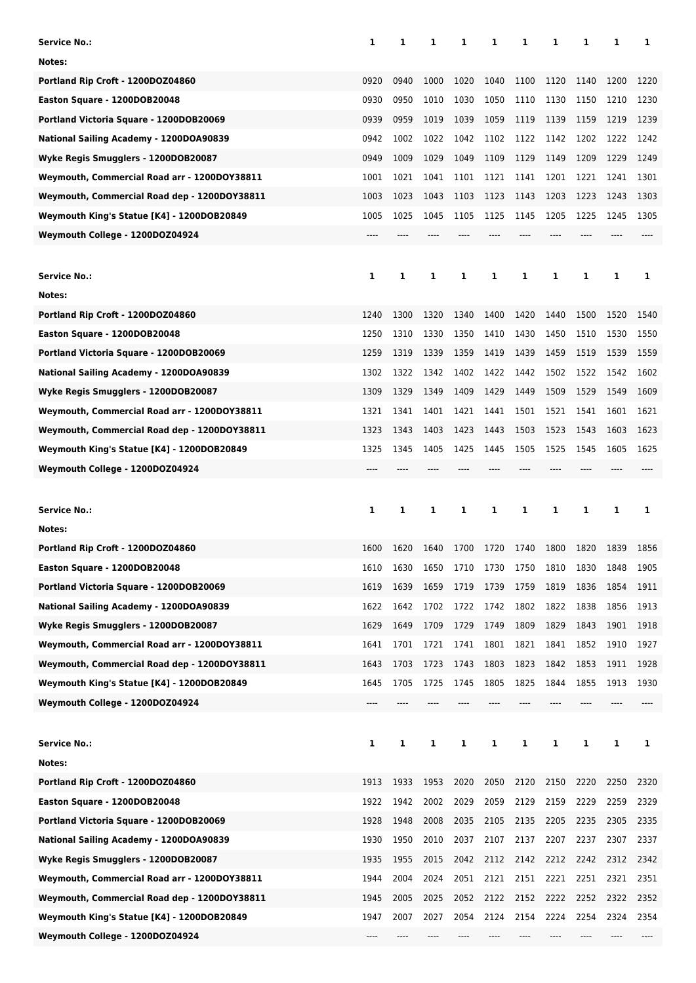| Service No.:                                 | 1    | 1    | 1    | 1    | 1    | 1    | 1    | 1    | 1    | 1    |
|----------------------------------------------|------|------|------|------|------|------|------|------|------|------|
| Notes:                                       |      |      |      |      |      |      |      |      |      |      |
| Portland Rip Croft - 1200DOZ04860            | 0920 | 0940 | 1000 | 1020 | 1040 | 1100 | 1120 | 1140 | 1200 | 1220 |
| Easton Square - 1200DOB20048                 | 0930 | 0950 | 1010 | 1030 | 1050 | 1110 | 1130 | 1150 | 1210 | 1230 |
| Portland Victoria Square - 1200DOB20069      | 0939 | 0959 | 1019 | 1039 | 1059 | 1119 | 1139 | 1159 | 1219 | 1239 |
| National Sailing Academy - 1200DOA90839      | 0942 | 1002 | 1022 | 1042 | 1102 | 1122 | 1142 | 1202 | 1222 | 1242 |
| Wyke Regis Smugglers - 1200DOB20087          | 0949 | 1009 | 1029 | 1049 | 1109 | 1129 | 1149 | 1209 | 1229 | 1249 |
| Weymouth, Commercial Road arr - 1200DOY38811 | 1001 | 1021 | 1041 | 1101 | 1121 | 1141 | 1201 | 1221 | 1241 | 1301 |
| Weymouth, Commercial Road dep - 1200DOY38811 | 1003 | 1023 | 1043 | 1103 | 1123 | 1143 | 1203 | 1223 | 1243 | 1303 |
| Weymouth King's Statue [K4] - 1200DOB20849   | 1005 | 1025 | 1045 | 1105 | 1125 | 1145 | 1205 | 1225 | 1245 | 1305 |
| Weymouth College - 1200DOZ04924              | ---- |      |      |      |      |      |      |      |      |      |
|                                              |      |      |      |      |      |      |      |      |      |      |
| Service No.:                                 | 1    | 1    | 1    | 1    | 1    | 1    | 1    | 1    | 1    | 1    |
| Notes:                                       |      |      |      |      |      |      |      |      |      |      |
| Portland Rip Croft - 1200DOZ04860            | 1240 | 1300 | 1320 | 1340 | 1400 | 1420 | 1440 | 1500 | 1520 | 1540 |
| Easton Square - 1200DOB20048                 | 1250 | 1310 | 1330 | 1350 | 1410 | 1430 | 1450 | 1510 | 1530 | 1550 |
| Portland Victoria Square - 1200DOB20069      | 1259 | 1319 | 1339 | 1359 | 1419 | 1439 | 1459 | 1519 | 1539 | 1559 |
| National Sailing Academy - 1200DOA90839      | 1302 | 1322 | 1342 | 1402 | 1422 | 1442 | 1502 | 1522 | 1542 | 1602 |
| Wyke Regis Smugglers - 1200DOB20087          | 1309 | 1329 | 1349 | 1409 | 1429 | 1449 | 1509 | 1529 | 1549 | 1609 |
| Weymouth, Commercial Road arr - 1200DOY38811 | 1321 | 1341 | 1401 | 1421 | 1441 | 1501 | 1521 | 1541 | 1601 | 1621 |
| Weymouth, Commercial Road dep - 1200DOY38811 | 1323 | 1343 | 1403 | 1423 | 1443 | 1503 | 1523 | 1543 | 1603 | 1623 |
| Weymouth King's Statue [K4] - 1200DOB20849   | 1325 | 1345 | 1405 | 1425 | 1445 | 1505 | 1525 | 1545 | 1605 | 1625 |
| Weymouth College - 1200DOZ04924              |      |      |      |      |      |      |      |      |      |      |
|                                              |      |      |      |      |      |      |      |      |      |      |
|                                              |      |      |      |      |      |      |      |      |      |      |
| <b>Service No.:</b>                          | 1    | 1    | 1    | 1    | 1    | 1    | 1    | 1    | 1    | 1    |
| Notes:                                       |      |      |      |      |      |      |      |      |      |      |
| Portland Rip Croft - 1200DOZ04860            | 1600 | 1620 | 1640 | 1700 | 1720 | 1740 | 1800 | 1820 | 1839 | 1856 |
| Easton Square - 1200DOB20048                 | 1610 | 1630 | 1650 | 1710 | 1730 | 1750 | 1810 | 1830 | 1848 | 1905 |
| Portland Victoria Square - 1200DOB20069      | 1619 | 1639 | 1659 | 1719 | 1739 | 1759 | 1819 | 1836 | 1854 | 1911 |
| National Sailing Academy - 1200DOA90839      | 1622 | 1642 | 1702 | 1722 | 1742 | 1802 | 1822 | 1838 | 1856 | 1913 |
| Wyke Regis Smugglers - 1200DOB20087          | 1629 | 1649 | 1709 | 1729 | 1749 | 1809 | 1829 | 1843 | 1901 | 1918 |
| Weymouth, Commercial Road arr - 1200DOY38811 | 1641 | 1701 | 1721 | 1741 | 1801 | 1821 | 1841 | 1852 | 1910 | 1927 |
| Weymouth, Commercial Road dep - 1200DOY38811 | 1643 | 1703 | 1723 | 1743 | 1803 | 1823 | 1842 | 1853 | 1911 | 1928 |
| Weymouth King's Statue [K4] - 1200DOB20849   | 1645 | 1705 | 1725 | 1745 | 1805 | 1825 | 1844 | 1855 | 1913 | 1930 |
| Weymouth College - 1200DOZ04924              | ---- |      |      |      |      |      |      |      |      |      |
|                                              |      |      |      |      |      |      |      |      |      |      |
| <b>Service No.:</b>                          | 1    | 1    | 1    | 1    | 1    | 1    | 1    | 1    | 1    | 1    |
| Notes:                                       |      |      |      |      |      |      |      |      |      |      |
| Portland Rip Croft - 1200DOZ04860            | 1913 | 1933 | 1953 | 2020 | 2050 | 2120 | 2150 | 2220 | 2250 | 2320 |
| Easton Square - 1200DOB20048                 | 1922 | 1942 | 2002 | 2029 | 2059 | 2129 | 2159 | 2229 | 2259 | 2329 |
| Portland Victoria Square - 1200DOB20069      | 1928 | 1948 | 2008 | 2035 | 2105 | 2135 | 2205 | 2235 | 2305 | 2335 |
| National Sailing Academy - 1200DOA90839      | 1930 | 1950 | 2010 | 2037 | 2107 | 2137 | 2207 | 2237 | 2307 | 2337 |
| Wyke Regis Smugglers - 1200DOB20087          | 1935 | 1955 | 2015 | 2042 | 2112 | 2142 | 2212 | 2242 | 2312 | 2342 |
| Weymouth, Commercial Road arr - 1200DOY38811 | 1944 | 2004 | 2024 | 2051 | 2121 | 2151 | 2221 | 2251 | 2321 | 2351 |
| Weymouth, Commercial Road dep - 1200DOY38811 | 1945 | 2005 | 2025 | 2052 | 2122 | 2152 | 2222 | 2252 | 2322 | 2352 |
| Weymouth King's Statue [K4] - 1200DOB20849   | 1947 | 2007 | 2027 | 2054 | 2124 | 2154 | 2224 | 2254 | 2324 | 2354 |